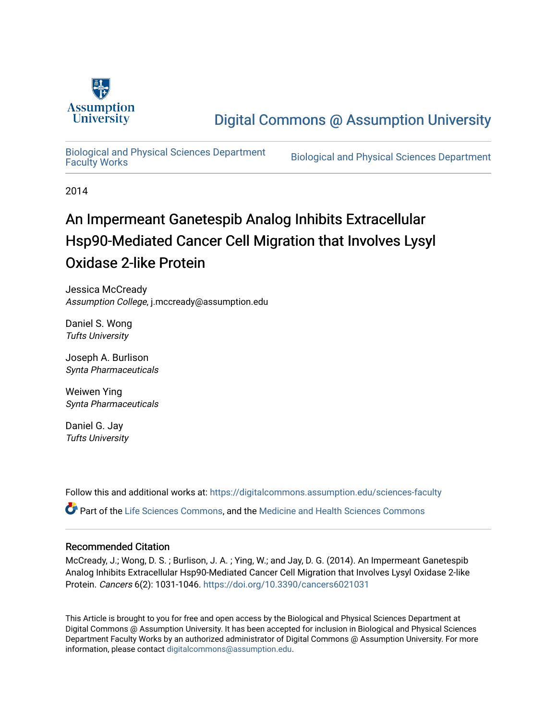

# [Digital Commons @ Assumption University](https://digitalcommons.assumption.edu/)

[Biological and Physical Sciences Department](https://digitalcommons.assumption.edu/sciences-faculty)

Biological and Physical Sciences Department

2014

# An Impermeant Ganetespib Analog Inhibits Extracellular Hsp90-Mediated Cancer Cell Migration that Involves Lysyl Oxidase 2-like Protein

Jessica McCready Assumption College, j.mccready@assumption.edu

Daniel S. Wong Tufts University

Joseph A. Burlison Synta Pharmaceuticals

Weiwen Ying Synta Pharmaceuticals

Daniel G. Jay Tufts University

Follow this and additional works at: [https://digitalcommons.assumption.edu/sciences-faculty](https://digitalcommons.assumption.edu/sciences-faculty?utm_source=digitalcommons.assumption.edu%2Fsciences-faculty%2F8&utm_medium=PDF&utm_campaign=PDFCoverPages) 

Part of the [Life Sciences Commons,](http://network.bepress.com/hgg/discipline/1016?utm_source=digitalcommons.assumption.edu%2Fsciences-faculty%2F8&utm_medium=PDF&utm_campaign=PDFCoverPages) and the [Medicine and Health Sciences Commons](http://network.bepress.com/hgg/discipline/648?utm_source=digitalcommons.assumption.edu%2Fsciences-faculty%2F8&utm_medium=PDF&utm_campaign=PDFCoverPages)

### Recommended Citation

McCready, J.; Wong, D. S. ; Burlison, J. A. ; Ying, W.; and Jay, D. G. (2014). An Impermeant Ganetespib Analog Inhibits Extracellular Hsp90-Mediated Cancer Cell Migration that Involves Lysyl Oxidase 2-like Protein. Cancers 6(2): 1031-1046. <https://doi.org/10.3390/cancers6021031>

This Article is brought to you for free and open access by the Biological and Physical Sciences Department at Digital Commons @ Assumption University. It has been accepted for inclusion in Biological and Physical Sciences Department Faculty Works by an authorized administrator of Digital Commons @ Assumption University. For more information, please contact [digitalcommons@assumption.edu.](mailto:digitalcommons@assumption.edu)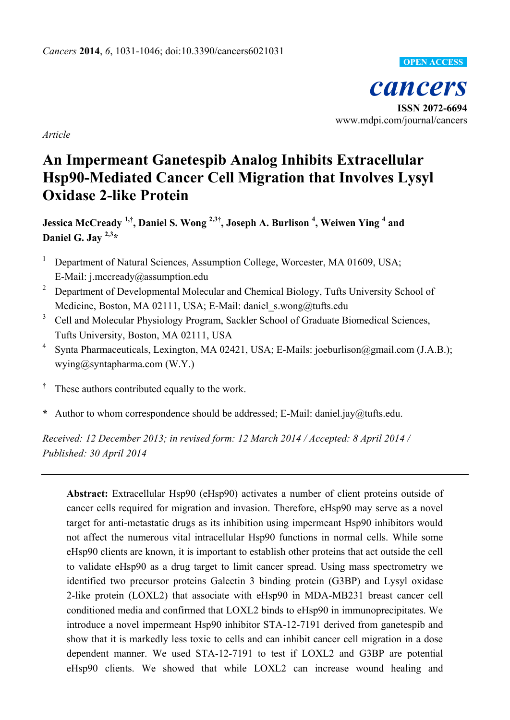

*Article*

# **An Impermeant Ganetespib Analog Inhibits Extracellular Hsp90-Mediated Cancer Cell Migration that Involves Lysyl Oxidase 2-like Protein**

**Jessica McCready 1,† , Daniel S. Wong 2,3† , Joseph A. Burlison <sup>4</sup> , Weiwen Ying <sup>4</sup> and Daniel G. Jay 2,3 \***

- <sup>1</sup> Department of Natural Sciences, Assumption College, Worcester, MA 01609, USA; E-Mail: j.mccready@assumption.edu
- <sup>2</sup> Department of Developmental Molecular and Chemical Biology, Tufts University School of Medicine, Boston, MA 02111, USA; E-Mail: daniel\_s.wong@tufts.edu
- <sup>3</sup> Cell and Molecular Physiology Program, Sackler School of Graduate Biomedical Sciences, Tufts University, Boston, MA 02111, USA
- <sup>4</sup> Synta Pharmaceuticals, Lexington, MA 02421, USA; E-Mails: joeburlison@gmail.com (J.A.B.); wying@syntapharma.com (W.Y.)
- **†** These authors contributed equally to the work.
- **\*** Author to whom correspondence should be addressed; E-Mail: daniel.jay@tufts.edu.

*Received: 12 December 2013; in revised form: 12 March 2014 / Accepted: 8 April 2014 / Published: 30 April 2014*

**Abstract:** Extracellular Hsp90 (eHsp90) activates a number of client proteins outside of cancer cells required for migration and invasion. Therefore, eHsp90 may serve as a novel target for anti-metastatic drugs as its inhibition using impermeant Hsp90 inhibitors would not affect the numerous vital intracellular Hsp90 functions in normal cells. While some eHsp90 clients are known, it is important to establish other proteins that act outside the cell to validate eHsp90 as a drug target to limit cancer spread. Using mass spectrometry we identified two precursor proteins Galectin 3 binding protein (G3BP) and Lysyl oxidase 2-like protein (LOXL2) that associate with eHsp90 in MDA-MB231 breast cancer cell conditioned media and confirmed that LOXL2 binds to eHsp90 in immunoprecipitates. We introduce a novel impermeant Hsp90 inhibitor STA-12-7191 derived from ganetespib and show that it is markedly less toxic to cells and can inhibit cancer cell migration in a dose dependent manner. We used STA-12-7191 to test if LOXL2 and G3BP are potential eHsp90 clients. We showed that while LOXL2 can increase wound healing and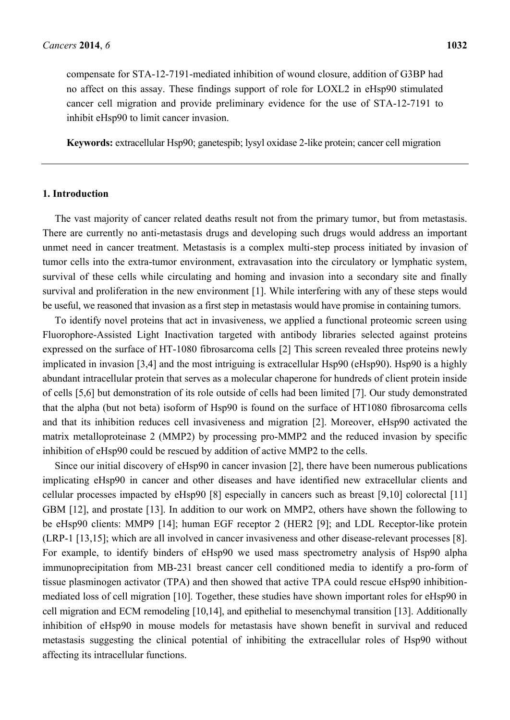compensate for STA-12-7191-mediated inhibition of wound closure, addition of G3BP had no affect on this assay. These findings support of role for LOXL2 in eHsp90 stimulated cancer cell migration and provide preliminary evidence for the use of STA-12-7191 to inhibit eHsp90 to limit cancer invasion.

**Keywords:** extracellular Hsp90; ganetespib; lysyl oxidase 2-like protein; cancer cell migration

### **1. Introduction**

The vast majority of cancer related deaths result not from the primary tumor, but from metastasis. There are currently no anti-metastasis drugs and developing such drugs would address an important unmet need in cancer treatment. Metastasis is a complex multi-step process initiated by invasion of tumor cells into the extra-tumor environment, extravasation into the circulatory or lymphatic system, survival of these cells while circulating and homing and invasion into a secondary site and finally survival and proliferation in the new environment [1]. While interfering with any of these steps would be useful, we reasoned that invasion as a first step in metastasis would have promise in containing tumors.

To identify novel proteins that act in invasiveness, we applied a functional proteomic screen using Fluorophore-Assisted Light Inactivation targeted with antibody libraries selected against proteins expressed on the surface of HT-1080 fibrosarcoma cells [2] This screen revealed three proteins newly implicated in invasion [3,4] and the most intriguing is extracellular Hsp90 (eHsp90). Hsp90 is a highly abundant intracellular protein that serves as a molecular chaperone for hundreds of client protein inside of cells [5,6] but demonstration of its role outside of cells had been limited [7]. Our study demonstrated that the alpha (but not beta) isoform of Hsp90 is found on the surface of HT1080 fibrosarcoma cells and that its inhibition reduces cell invasiveness and migration [2]. Moreover, eHsp90 activated the matrix metalloproteinase 2 (MMP2) by processing pro-MMP2 and the reduced invasion by specific inhibition of eHsp90 could be rescued by addition of active MMP2 to the cells.

Since our initial discovery of eHsp90 in cancer invasion [2], there have been numerous publications implicating eHsp90 in cancer and other diseases and have identified new extracellular clients and cellular processes impacted by eHsp90 [8] especially in cancers such as breast [9,10] colorectal [11] GBM [12], and prostate [13]. In addition to our work on MMP2, others have shown the following to be eHsp90 clients: MMP9 [14]; human EGF receptor 2 (HER2 [9]; and LDL Receptor-like protein (LRP-1 [13,15]; which are all involved in cancer invasiveness and other disease-relevant processes [8]. For example, to identify binders of eHsp90 we used mass spectrometry analysis of Hsp90 alpha immunoprecipitation from MB-231 breast cancer cell conditioned media to identify a pro-form of tissue plasminogen activator (TPA) and then showed that active TPA could rescue eHsp90 inhibitionmediated loss of cell migration [10]. Together, these studies have shown important roles for eHsp90 in cell migration and ECM remodeling [10,14], and epithelial to mesenchymal transition [13]. Additionally inhibition of eHsp90 in mouse models for metastasis have shown benefit in survival and reduced metastasis suggesting the clinical potential of inhibiting the extracellular roles of Hsp90 without affecting its intracellular functions.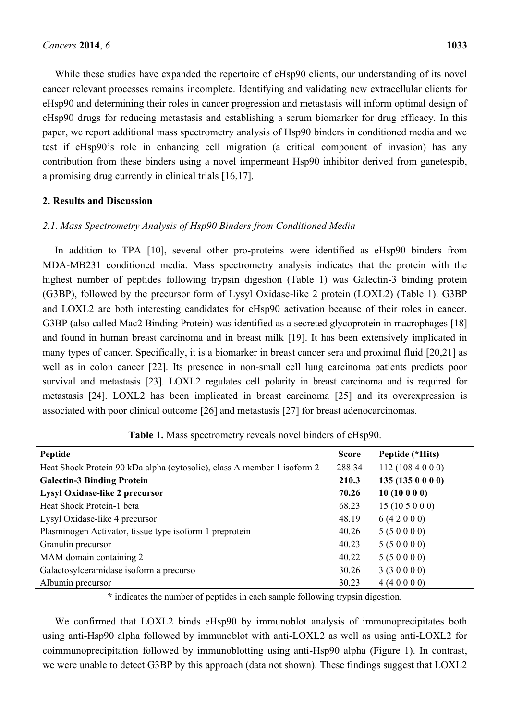While these studies have expanded the repertoire of eHsp90 clients, our understanding of its novel cancer relevant processes remains incomplete. Identifying and validating new extracellular clients for eHsp90 and determining their roles in cancer progression and metastasis will inform optimal design of eHsp90 drugs for reducing metastasis and establishing a serum biomarker for drug efficacy. In this paper, we report additional mass spectrometry analysis of Hsp90 binders in conditioned media and we test if eHsp90's role in enhancing cell migration (a critical component of invasion) has any contribution from these binders using a novel impermeant Hsp90 inhibitor derived from ganetespib, a promising drug currently in clinical trials [16,17].

### **2. Results and Discussion**

## *2.1. Mass Spectrometry Analysis of Hsp90 Binders from Conditioned Media*

In addition to TPA [10], several other pro-proteins were identified as eHsp90 binders from MDA-MB231 conditioned media. Mass spectrometry analysis indicates that the protein with the highest number of peptides following trypsin digestion (Table 1) was Galectin-3 binding protein (G3BP), followed by the precursor form of Lysyl Oxidase-like 2 protein (LOXL2) (Table 1). G3BP and LOXL2 are both interesting candidates for eHsp90 activation because of their roles in cancer. G3BP (also called Mac2 Binding Protein) was identified as a secreted glycoprotein in macrophages [18] and found in human breast carcinoma and in breast milk [19]. It has been extensively implicated in many types of cancer. Specifically, it is a biomarker in breast cancer sera and proximal fluid [20,21] as well as in colon cancer [22]. Its presence in non-small cell lung carcinoma patients predicts poor survival and metastasis [23]. LOXL2 regulates cell polarity in breast carcinoma and is required for metastasis [24]. LOXL2 has been implicated in breast carcinoma [25] and its overexpression is associated with poor clinical outcome [26] and metastasis [27] for breast adenocarcinomas.

| Peptide                                                                 | <b>Score</b> | Peptide (*Hits) |
|-------------------------------------------------------------------------|--------------|-----------------|
| Heat Shock Protein 90 kDa alpha (cytosolic), class A member 1 isoform 2 | 288.34       | 112(1084000)    |
| <b>Galectin-3 Binding Protein</b>                                       | 210.3        | 135(1350000)    |
| <b>Lysyl Oxidase-like 2 precursor</b>                                   | 70.26        | 10(10000)       |
| Heat Shock Protein-1 beta                                               | 68.23        | 15(105000)      |
| Lysyl Oxidase-like 4 precursor                                          | 48.19        | 6(42000)        |
| Plasminogen Activator, tissue type isoform 1 preprotein                 | 40.26        | 5(50000)        |
| Granulin precursor                                                      | 40.23        | 5(50000)        |
| MAM domain containing 2                                                 | 40.22        | 5(50000)        |
| Galactosylceramidase isoform a precurso                                 | 30.26        | 3(30000)        |
| Albumin precursor                                                       | 30.23        | 4(40000)        |

**Table 1.** Mass spectrometry reveals novel binders of eHsp90.

**\*** indicates the number of peptides in each sample following trypsin digestion.

We confirmed that LOXL2 binds eHsp90 by immunoblot analysis of immunoprecipitates both using anti-Hsp90 alpha followed by immunoblot with anti-LOXL2 as well as using anti-LOXL2 for coimmunoprecipitation followed by immunoblotting using anti-Hsp90 alpha (Figure 1). In contrast, we were unable to detect G3BP by this approach (data not shown). These findings suggest that LOXL2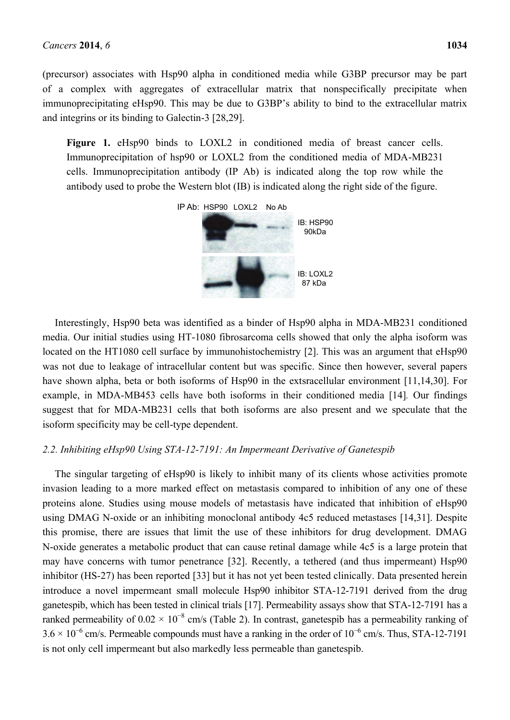(precursor) associates with Hsp90 alpha in conditioned media while G3BP precursor may be part of a complex with aggregates of extracellular matrix that nonspecifically precipitate when immunoprecipitating eHsp90. This may be due to G3BP's ability to bind to the extracellular matrix and integrins or its binding to Galectin-3 [28,29].

Figure 1. eHsp90 binds to LOXL2 in conditioned media of breast cancer cells. Immunoprecipitation of hsp90 or LOXL2 from the conditioned media of MDA-MB231 cells. Immunoprecipitation antibody (IP Ab) is indicated along the top row while the antibody used to probe the Western blot (IB) is indicated along the right side of the figure.



Interestingly, Hsp90 beta was identified as a binder of Hsp90 alpha in MDA-MB231 conditioned media. Our initial studies using HT-1080 fibrosarcoma cells showed that only the alpha isoform was located on the HT1080 cell surface by immunohistochemistry [2]. This was an argument that eHsp90 was not due to leakage of intracellular content but was specific. Since then however, several papers have shown alpha, beta or both isoforms of Hsp90 in the extsracellular environment [11,14,30]. For example, in MDA-MB453 cells have both isoforms in their conditioned media [14]*.* Our findings suggest that for MDA-MB231 cells that both isoforms are also present and we speculate that the isoform specificity may be cell-type dependent.

#### *2.2. Inhibiting eHsp90 Using STA-12-7191: An Impermeant Derivative of Ganetespib*

The singular targeting of eHsp90 is likely to inhibit many of its clients whose activities promote invasion leading to a more marked effect on metastasis compared to inhibition of any one of these proteins alone. Studies using mouse models of metastasis have indicated that inhibition of eHsp90 using DMAG N-oxide or an inhibiting monoclonal antibody 4c5 reduced metastases [14,31]. Despite this promise, there are issues that limit the use of these inhibitors for drug development. DMAG N-oxide generates a metabolic product that can cause retinal damage while 4c5 is a large protein that may have concerns with tumor penetrance [32]. Recently, a tethered (and thus impermeant) Hsp90 inhibitor (HS-27) has been reported [33] but it has not yet been tested clinically. Data presented herein introduce a novel impermeant small molecule Hsp90 inhibitor STA-12-7191 derived from the drug ganetespib, which has been tested in clinical trials [17]. Permeability assays show that STA-12-7191 has a ranked permeability of  $0.02 \times 10^{-8}$  cm/s (Table 2). In contrast, ganetespib has a permeability ranking of  $3.6 \times 10^{-6}$  cm/s. Permeable compounds must have a ranking in the order of  $10^{-6}$  cm/s. Thus, STA-12-7191 is not only cell impermeant but also markedly less permeable than ganetespib.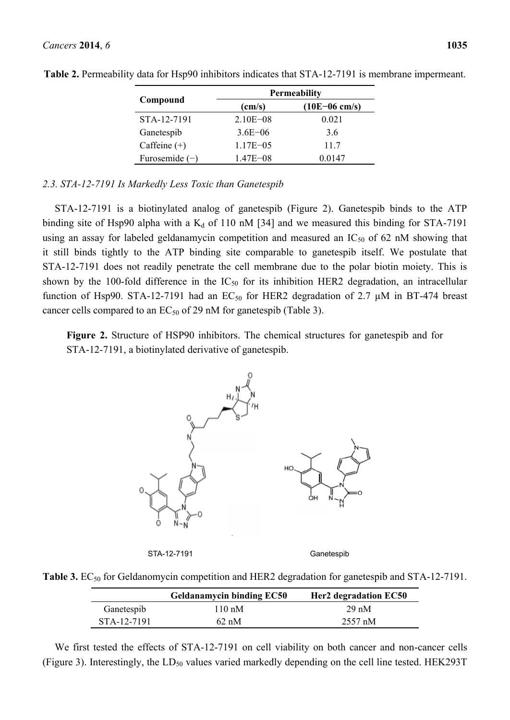|                  | <b>Permeability</b> |                 |  |
|------------------|---------------------|-----------------|--|
| Compound         | $\text{(cm/s)}$     | $(10E-06$ cm/s) |  |
| STA-12-7191      | $2.10E - 08$        | 0.021           |  |
| Ganetespib       | $3.6E - 06$         | 3.6             |  |
| Caffeine $(+)$   | $1.17E - 0.5$       | 11.7            |  |
| Furosemide $(-)$ | $1.47E - 08$        | 0.0147          |  |

**Table 2.** Permeability data for Hsp90 inhibitors indicates that STA-12-7191 is membrane impermeant.

### *2.3. STA-12-7191 Is Markedly Less Toxic than Ganetespib*

STA-12-7191 is a biotinylated analog of ganetespib (Figure 2). Ganetespib binds to the ATP binding site of Hsp90 alpha with a  $K_d$  of 110 nM [34] and we measured this binding for STA-7191 using an assay for labeled geldanamycin competition and measured an  $IC_{50}$  of 62 nM showing that it still binds tightly to the ATP binding site comparable to ganetespib itself. We postulate that STA-12-7191 does not readily penetrate the cell membrane due to the polar biotin moiety. This is shown by the 100-fold difference in the  $IC_{50}$  for its inhibition HER2 degradation, an intracellular function of Hsp90. STA-12-7191 had an EC<sub>50</sub> for HER2 degradation of 2.7  $\mu$ M in BT-474 breast cancer cells compared to an  $EC_{50}$  of 29 nM for ganetespib (Table 3).

**Figure 2.** Structure of HSP90 inhibitors. The chemical structures for ganetespib and for STA-12-7191, a biotinylated derivative of ganetespib.



STA-12-7191 Ganetespib

**Table 3.** EC<sub>50</sub> for Geldanomycin competition and HER2 degradation for ganetespib and STA-12-7191.

|             | <b>Geldanamycin binding EC50</b> | Her2 degradation EC50 |
|-------------|----------------------------------|-----------------------|
| Ganetespib  | $110 \text{ nM}$                 | $29 \text{ nM}$       |
| STA-12-7191 | $62 \text{ nM}$                  | 2557 nM               |

We first tested the effects of STA-12-7191 on cell viability on both cancer and non-cancer cells (Figure 3). Interestingly, the  $LD_{50}$  values varied markedly depending on the cell line tested. HEK293T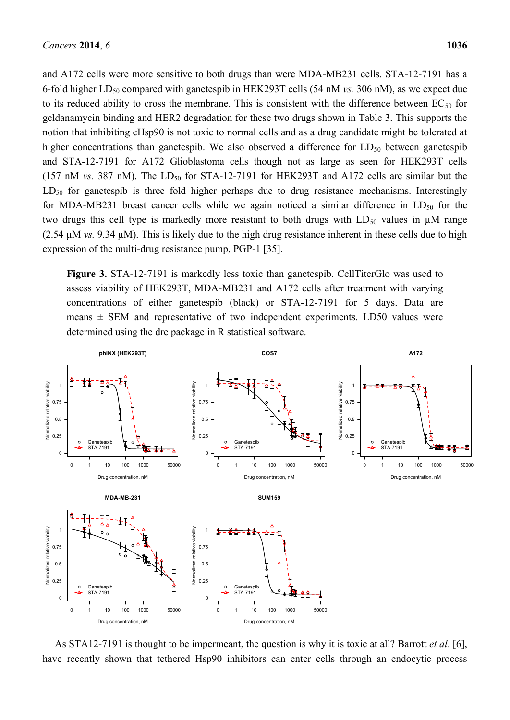and A172 cells were more sensitive to both drugs than were MDA-MB231 cells. STA-12-7191 has a 6-fold higher LD<sup>50</sup> compared with ganetespib in HEK293T cells (54 nM *vs.* 306 nM), as we expect due to its reduced ability to cross the membrane. This is consistent with the difference between  $EC_{50}$  for geldanamycin binding and HER2 degradation for these two drugs shown in Table 3. This supports the notion that inhibiting eHsp90 is not toxic to normal cells and as a drug candidate might be tolerated at higher concentrations than ganetespib. We also observed a difference for  $LD_{50}$  between ganetespib and STA-12-7191 for A172 Glioblastoma cells though not as large as seen for HEK293T cells (157 nM *vs.* 387 nM). The  $LD_{50}$  for STA-12-7191 for HEK293T and A172 cells are similar but the  $LD_{50}$  for ganetespib is three fold higher perhaps due to drug resistance mechanisms. Interestingly for MDA-MB231 breast cancer cells while we again noticed a similar difference in  $LD_{50}$  for the two drugs this cell type is markedly more resistant to both drugs with  $LD_{50}$  values in  $\mu$ M range (2.54 µM *vs.* 9.34 µM). This is likely due to the high drug resistance inherent in these cells due to high expression of the multi-drug resistance pump, PGP-1 [35].

**Figure 3.** STA-12-7191 is markedly less toxic than ganetespib. CellTiterGlo was used to assess viability of HEK293T, MDA-MB231 and A172 cells after treatment with varying concentrations of either ganetespib (black) or STA-12-7191 for 5 days. Data are means  $\pm$  SEM and representative of two independent experiments. LD50 values were determined using the drc package in R statistical software.



As STA12-7191 is thought to be impermeant, the question is why it is toxic at all? Barrott *et al*. [6],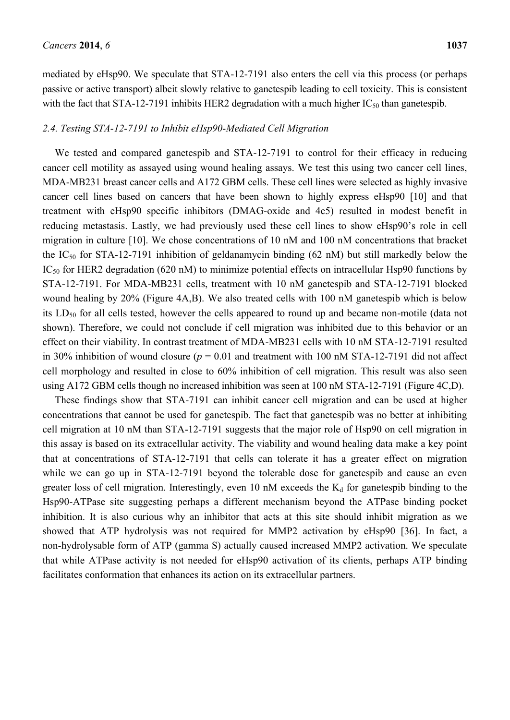mediated by eHsp90. We speculate that STA-12-7191 also enters the cell via this process (or perhaps passive or active transport) albeit slowly relative to ganetespib leading to cell toxicity. This is consistent with the fact that STA-12-7191 inhibits HER2 degradation with a much higher  $IC_{50}$  than ganetespib.

## *2.4. Testing STA-12-7191 to Inhibit eHsp90-Mediated Cell Migration*

We tested and compared ganetespib and STA-12-7191 to control for their efficacy in reducing cancer cell motility as assayed using wound healing assays. We test this using two cancer cell lines, MDA-MB231 breast cancer cells and A172 GBM cells. These cell lines were selected as highly invasive cancer cell lines based on cancers that have been shown to highly express eHsp90 [10] and that treatment with eHsp90 specific inhibitors (DMAG-oxide and 4c5) resulted in modest benefit in reducing metastasis. Lastly, we had previously used these cell lines to show eHsp90's role in cell migration in culture [10]. We chose concentrations of 10 nM and 100 nM concentrations that bracket the  $IC_{50}$  for STA-12-7191 inhibition of geldanamycin binding (62 nM) but still markedly below the  $IC_{50}$  for HER2 degradation (620 nM) to minimize potential effects on intracellular Hsp90 functions by STA-12-7191. For MDA-MB231 cells, treatment with 10 nM ganetespib and STA-12-7191 blocked wound healing by 20% (Figure 4A,B). We also treated cells with 100 nM ganetespib which is below its  $LD_{50}$  for all cells tested, however the cells appeared to round up and became non-motile (data not shown). Therefore, we could not conclude if cell migration was inhibited due to this behavior or an effect on their viability. In contrast treatment of MDA-MB231 cells with 10 nM STA-12-7191 resulted in 30% inhibition of wound closure ( $p = 0.01$  and treatment with 100 nM STA-12-7191 did not affect cell morphology and resulted in close to 60% inhibition of cell migration. This result was also seen using A172 GBM cells though no increased inhibition was seen at 100 nM STA-12-7191 (Figure 4C,D).

These findings show that STA-7191 can inhibit cancer cell migration and can be used at higher concentrations that cannot be used for ganetespib. The fact that ganetespib was no better at inhibiting cell migration at 10 nM than STA-12-7191 suggests that the major role of Hsp90 on cell migration in this assay is based on its extracellular activity. The viability and wound healing data make a key point that at concentrations of STA-12-7191 that cells can tolerate it has a greater effect on migration while we can go up in STA-12-7191 beyond the tolerable dose for ganetespib and cause an even greater loss of cell migration. Interestingly, even 10 nM exceeds the  $K_d$  for ganetespib binding to the Hsp90-ATPase site suggesting perhaps a different mechanism beyond the ATPase binding pocket inhibition. It is also curious why an inhibitor that acts at this site should inhibit migration as we showed that ATP hydrolysis was not required for MMP2 activation by eHsp90 [36]. In fact, a non-hydrolysable form of ATP (gamma S) actually caused increased MMP2 activation. We speculate that while ATPase activity is not needed for eHsp90 activation of its clients, perhaps ATP binding facilitates conformation that enhances its action on its extracellular partners.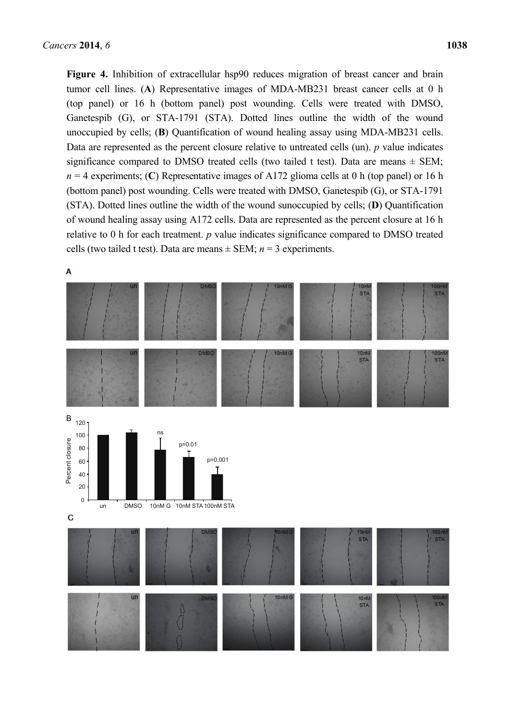**Figure 4.** Inhibition of extracellular hsp90 reduces migration of breast cancer and brain tumor cell lines. (**A**) Representative images of MDA-MB231 breast cancer cells at 0 h (top panel) or 16 h (bottom panel) post wounding. Cells were treated with DMSO, Ganetespib (G), or STA-1791 (STA). Dotted lines outline the width of the wound unoccupied by cells; (**B**) Quantification of wound healing assay using MDA-MB231 cells. Data are represented as the percent closure relative to untreated cells (un). *p* value indicates significance compared to DMSO treated cells (two tailed t test). Data are means  $\pm$  SEM;  $n = 4$  experiments; (C) Representative images of A172 glioma cells at 0 h (top panel) or 16 h (bottom panel) post wounding. Cells were treated with DMSO, Ganetespib (G), or STA-1791 (STA). Dotted lines outline the width of the wound sunoccupied by cells; (**D**) Quantification of wound healing assay using A172 cells. Data are represented as the percent closure at 16 h relative to 0 h for each treatment. *p* value indicates significance compared to DMSO treated cells (two tailed t test). Data are means  $\pm$  SEM;  $n = 3$  experiments.

A

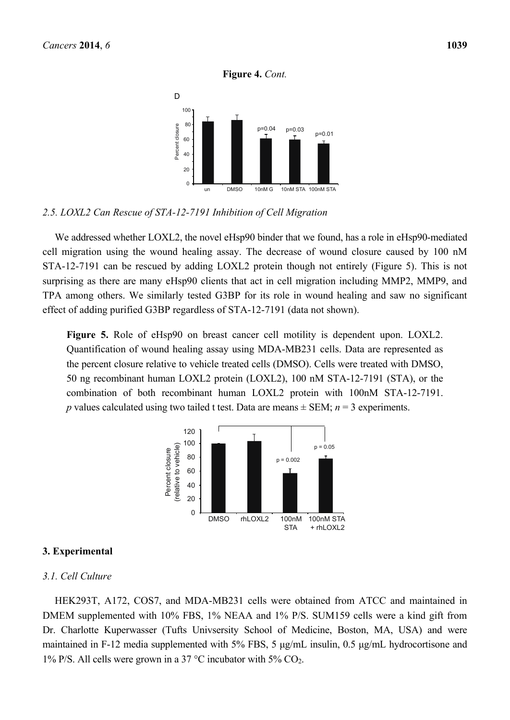#### **Figure 4.** *Cont.*



## *2.5. LOXL2 Can Rescue of STA-12-7191 Inhibition of Cell Migration*

We addressed whether LOXL2, the novel eHsp90 binder that we found, has a role in eHsp90-mediated cell migration using the wound healing assay. The decrease of wound closure caused by 100 nM STA-12-7191 can be rescued by adding LOXL2 protein though not entirely (Figure 5). This is not surprising as there are many eHsp90 clients that act in cell migration including MMP2, MMP9, and TPA among others. We similarly tested G3BP for its role in wound healing and saw no significant effect of adding purified G3BP regardless of STA-12-7191 (data not shown).

**Figure 5.** Role of eHsp90 on breast cancer cell motility is dependent upon. LOXL2. Quantification of wound healing assay using MDA-MB231 cells. Data are represented as the percent closure relative to vehicle treated cells (DMSO). Cells were treated with DMSO, 50 ng recombinant human LOXL2 protein (LOXL2), 100 nM STA-12-7191 (STA), or the combination of both recombinant human LOXL2 protein with 100nM STA-12-7191. *p* values calculated using two tailed t test. Data are means  $\pm$  SEM; *n* = 3 experiments.



#### **3. Experimental**

### *3.1. Cell Culture*

HEK293T, A172, COS7, and MDA-MB231 cells were obtained from ATCC and maintained in DMEM supplemented with 10% FBS, 1% NEAA and 1% P/S. SUM159 cells were a kind gift from Dr. Charlotte Kuperwasser (Tufts Univsersity School of Medicine, Boston, MA, USA) and were maintained in F-12 media supplemented with 5% FBS, 5 μg/mL insulin, 0.5 μg/mL hydrocortisone and 1% P/S. All cells were grown in a 37 °C incubator with 5%  $CO<sub>2</sub>$ .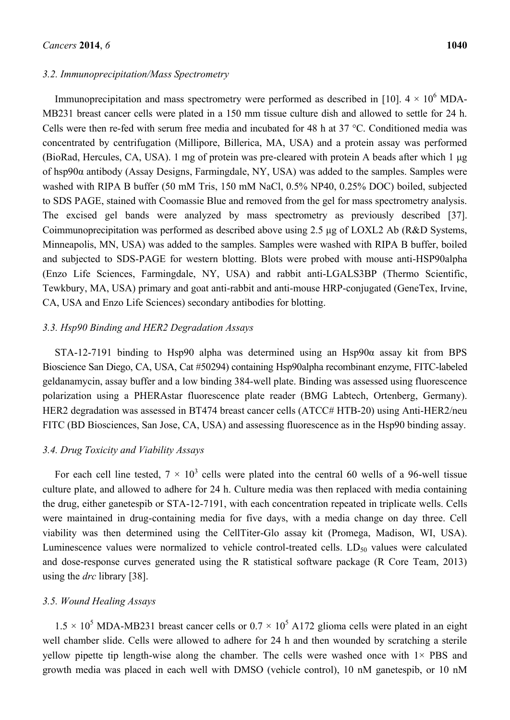#### *3.2. Immunoprecipitation/Mass Spectrometry*

Immunoprecipitation and mass spectrometry were performed as described in [10].  $4 \times 10^6$  MDA-MB231 breast cancer cells were plated in a 150 mm tissue culture dish and allowed to settle for 24 h. Cells were then re-fed with serum free media and incubated for 48 h at 37 °C. Conditioned media was concentrated by centrifugation (Millipore, Billerica, MA, USA) and a protein assay was performed (BioRad, Hercules, CA, USA). 1 mg of protein was pre-cleared with protein A beads after which 1 μg of hsp90α antibody (Assay Designs, Farmingdale, NY, USA) was added to the samples. Samples were washed with RIPA B buffer (50 mM Tris, 150 mM NaCl, 0.5% NP40, 0.25% DOC) boiled, subjected to SDS PAGE, stained with Coomassie Blue and removed from the gel for mass spectrometry analysis. The excised gel bands were analyzed by mass spectrometry as previously described [37]. Coimmunoprecipitation was performed as described above using 2.5 μg of LOXL2 Ab (R&D Systems, Minneapolis, MN, USA) was added to the samples. Samples were washed with RIPA B buffer, boiled and subjected to SDS-PAGE for western blotting. Blots were probed with mouse anti-HSP90alpha (Enzo Life Sciences, Farmingdale, NY, USA) and rabbit anti-LGALS3BP (Thermo Scientific, Tewkbury, MA, USA) primary and goat anti-rabbit and anti-mouse HRP-conjugated (GeneTex, Irvine, CA, USA and Enzo Life Sciences) secondary antibodies for blotting.

## *3.3. Hsp90 Binding and HER2 Degradation Assays*

STA-12-7191 binding to Hsp90 alpha was determined using an Hsp90α assay kit from BPS Bioscience San Diego, CA, USA, Cat #50294) containing Hsp90alpha recombinant enzyme, FITC-labeled geldanamycin, assay buffer and a low binding 384-well plate. Binding was assessed using fluorescence polarization using a PHERAstar fluorescence plate reader (BMG Labtech, Ortenberg, Germany). HER2 degradation was assessed in BT474 breast cancer cells (ATCC# HTB-20) using Anti-HER2/neu FITC (BD Biosciences, San Jose, CA, USA) and assessing fluorescence as in the Hsp90 binding assay.

#### *3.4. Drug Toxicity and Viability Assays*

For each cell line tested,  $7 \times 10^3$  cells were plated into the central 60 wells of a 96-well tissue culture plate, and allowed to adhere for 24 h. Culture media was then replaced with media containing the drug, either ganetespib or STA-12-7191, with each concentration repeated in triplicate wells. Cells were maintained in drug-containing media for five days, with a media change on day three. Cell viability was then determined using the CellTiter-Glo assay kit (Promega, Madison, WI, USA). Luminescence values were normalized to vehicle control-treated cells.  $LD_{50}$  values were calculated and dose-response curves generated using the R statistical software package (R Core Team, 2013) using the *drc* library [38].

#### *3.5. Wound Healing Assays*

 $1.5 \times 10^5$  MDA-MB231 breast cancer cells or  $0.7 \times 10^5$  A172 glioma cells were plated in an eight well chamber slide. Cells were allowed to adhere for 24 h and then wounded by scratching a sterile yellow pipette tip length-wise along the chamber. The cells were washed once with  $1\times$  PBS and growth media was placed in each well with DMSO (vehicle control), 10 nM ganetespib, or 10 nM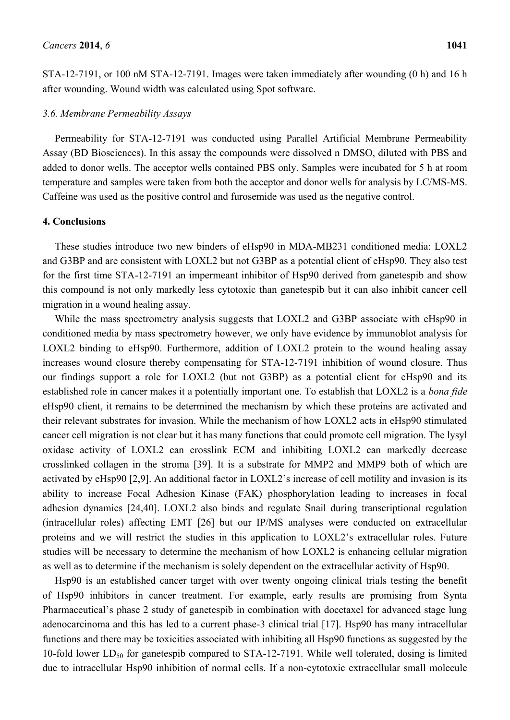STA-12-7191, or 100 nM STA-12-7191. Images were taken immediately after wounding (0 h) and 16 h after wounding. Wound width was calculated using Spot software.

#### *3.6. Membrane Permeability Assays*

Permeability for STA-12-7191 was conducted using Parallel Artificial Membrane Permeability Assay (BD Biosciences). In this assay the compounds were dissolved n DMSO, diluted with PBS and added to donor wells. The acceptor wells contained PBS only. Samples were incubated for 5 h at room temperature and samples were taken from both the acceptor and donor wells for analysis by LC/MS-MS. Caffeine was used as the positive control and furosemide was used as the negative control.

#### **4. Conclusions**

These studies introduce two new binders of eHsp90 in MDA-MB231 conditioned media: LOXL2 and G3BP and are consistent with LOXL2 but not G3BP as a potential client of eHsp90. They also test for the first time STA-12-7191 an impermeant inhibitor of Hsp90 derived from ganetespib and show this compound is not only markedly less cytotoxic than ganetespib but it can also inhibit cancer cell migration in a wound healing assay.

While the mass spectrometry analysis suggests that LOXL2 and G3BP associate with eHsp90 in conditioned media by mass spectrometry however, we only have evidence by immunoblot analysis for LOXL2 binding to eHsp90. Furthermore, addition of LOXL2 protein to the wound healing assay increases wound closure thereby compensating for STA-12-7191 inhibition of wound closure. Thus our findings support a role for LOXL2 (but not G3BP) as a potential client for eHsp90 and its established role in cancer makes it a potentially important one. To establish that LOXL2 is a *bona fide* eHsp90 client, it remains to be determined the mechanism by which these proteins are activated and their relevant substrates for invasion. While the mechanism of how LOXL2 acts in eHsp90 stimulated cancer cell migration is not clear but it has many functions that could promote cell migration. The lysyl oxidase activity of LOXL2 can crosslink ECM and inhibiting LOXL2 can markedly decrease crosslinked collagen in the stroma [39]. It is a substrate for MMP2 and MMP9 both of which are activated by eHsp90 [2,9]. An additional factor in LOXL2's increase of cell motility and invasion is its ability to increase Focal Adhesion Kinase (FAK) phosphorylation leading to increases in focal adhesion dynamics [24,40]. LOXL2 also binds and regulate Snail during transcriptional regulation (intracellular roles) affecting EMT [26] but our IP/MS analyses were conducted on extracellular proteins and we will restrict the studies in this application to LOXL2's extracellular roles. Future studies will be necessary to determine the mechanism of how LOXL2 is enhancing cellular migration as well as to determine if the mechanism is solely dependent on the extracellular activity of Hsp90.

Hsp90 is an established cancer target with over twenty ongoing clinical trials testing the benefit of Hsp90 inhibitors in cancer treatment. For example, early results are promising from Synta Pharmaceutical's phase 2 study of ganetespib in combination with docetaxel for advanced stage lung adenocarcinoma and this has led to a current phase-3 clinical trial [17]. Hsp90 has many intracellular functions and there may be toxicities associated with inhibiting all Hsp90 functions as suggested by the 10-fold lower  $LD_{50}$  for ganetespib compared to STA-12-7191. While well tolerated, dosing is limited due to intracellular Hsp90 inhibition of normal cells. If a non-cytotoxic extracellular small molecule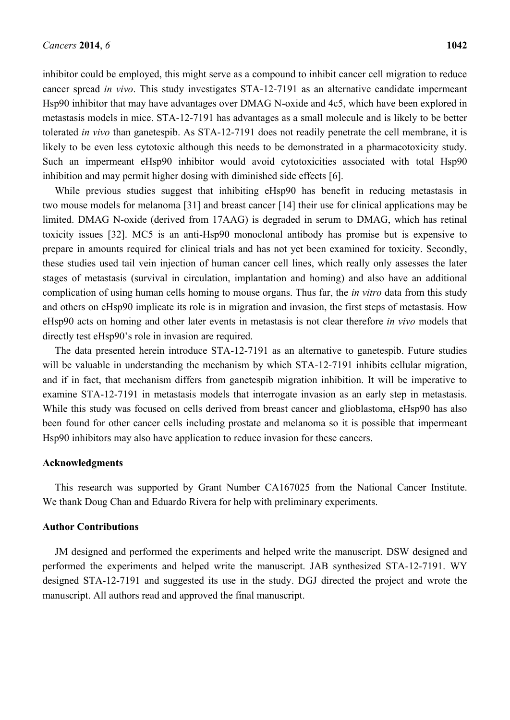inhibitor could be employed, this might serve as a compound to inhibit cancer cell migration to reduce cancer spread *in vivo*. This study investigates STA-12-7191 as an alternative candidate impermeant Hsp90 inhibitor that may have advantages over DMAG N-oxide and 4c5, which have been explored in metastasis models in mice. STA-12-7191 has advantages as a small molecule and is likely to be better tolerated *in vivo* than ganetespib. As STA-12-7191 does not readily penetrate the cell membrane, it is likely to be even less cytotoxic although this needs to be demonstrated in a pharmacotoxicity study. Such an impermeant eHsp90 inhibitor would avoid cytotoxicities associated with total Hsp90 inhibition and may permit higher dosing with diminished side effects [6].

While previous studies suggest that inhibiting eHsp90 has benefit in reducing metastasis in two mouse models for melanoma [31] and breast cancer [14] their use for clinical applications may be limited. DMAG N-oxide (derived from 17AAG) is degraded in serum to DMAG, which has retinal toxicity issues [32]. MC5 is an anti-Hsp90 monoclonal antibody has promise but is expensive to prepare in amounts required for clinical trials and has not yet been examined for toxicity. Secondly, these studies used tail vein injection of human cancer cell lines, which really only assesses the later stages of metastasis (survival in circulation, implantation and homing) and also have an additional complication of using human cells homing to mouse organs. Thus far, the *in vitro* data from this study and others on eHsp90 implicate its role is in migration and invasion, the first steps of metastasis. How eHsp90 acts on homing and other later events in metastasis is not clear therefore *in vivo* models that directly test eHsp90's role in invasion are required.

The data presented herein introduce STA-12-7191 as an alternative to ganetespib. Future studies will be valuable in understanding the mechanism by which STA-12-7191 inhibits cellular migration, and if in fact, that mechanism differs from ganetespib migration inhibition. It will be imperative to examine STA-12-7191 in metastasis models that interrogate invasion as an early step in metastasis. While this study was focused on cells derived from breast cancer and glioblastoma, eHsp90 has also been found for other cancer cells including prostate and melanoma so it is possible that impermeant Hsp90 inhibitors may also have application to reduce invasion for these cancers.

#### **Acknowledgments**

This research was supported by Grant Number CA167025 from the National Cancer Institute. We thank Doug Chan and Eduardo Rivera for help with preliminary experiments.

#### **Author Contributions**

JM designed and performed the experiments and helped write the manuscript. DSW designed and performed the experiments and helped write the manuscript. JAB synthesized STA-12-7191. WY designed STA-12-7191 and suggested its use in the study. DGJ directed the project and wrote the manuscript. All authors read and approved the final manuscript.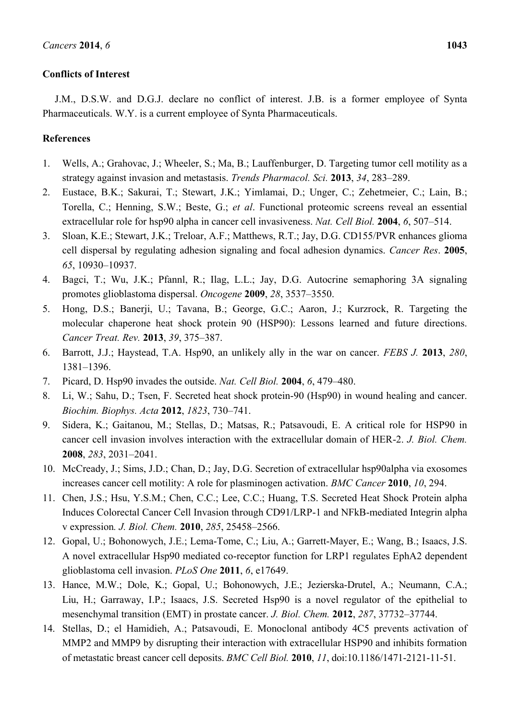## **Conflicts of Interest**

J.M., D.S.W. and D.G.J. declare no conflict of interest. J.B. is a former employee of Synta Pharmaceuticals. W.Y. is a current employee of Synta Pharmaceuticals.

## **References**

- 1. Wells, A.; Grahovac, J.; Wheeler, S.; Ma, B.; Lauffenburger, D. Targeting tumor cell motility as a strategy against invasion and metastasis. *Trends Pharmacol. Sci.* **2013**, *34*, 283–289.
- 2. Eustace, B.K.; Sakurai, T.; Stewart, J.K.; Yimlamai, D.; Unger, C.; Zehetmeier, C.; Lain, B.; Torella, C.; Henning, S.W.; Beste, G.; *et al*. Functional proteomic screens reveal an essential extracellular role for hsp90 alpha in cancer cell invasiveness. *Nat. Cell Biol.* **2004**, *6*, 507–514.
- 3. Sloan, K.E.; Stewart, J.K.; Treloar, A.F.; Matthews, R.T.; Jay, D.G. CD155/PVR enhances glioma cell dispersal by regulating adhesion signaling and focal adhesion dynamics. *Cancer Res*. **2005**, *65*, 10930–10937.
- 4. Bagci, T.; Wu, J.K.; Pfannl, R.; Ilag, L.L.; Jay, D.G. Autocrine semaphoring 3A signaling promotes glioblastoma dispersal. *Oncogene* **2009**, *28*, 3537–3550.
- 5. Hong, D.S.; Banerji, U.; Tavana, B.; George, G.C.; Aaron, J.; Kurzrock, R. Targeting the molecular chaperone heat shock protein 90 (HSP90): Lessons learned and future directions. *Cancer Treat. Rev.* **2013**, *39*, 375–387.
- 6. Barrott, J.J.; Haystead, T.A. Hsp90, an unlikely ally in the war on cancer. *FEBS J.* **2013**, *280*, 1381–1396.
- 7. Picard, D. Hsp90 invades the outside. *Nat. Cell Biol.* **2004**, *6*, 479–480.
- 8. Li, W.; Sahu, D.; Tsen, F. Secreted heat shock protein-90 (Hsp90) in wound healing and cancer. *Biochim. Biophys. Acta* **2012**, *1823*, 730–741.
- 9. Sidera, K.; Gaitanou, M.; Stellas, D.; Matsas, R.; Patsavoudi, E. A critical role for HSP90 in cancer cell invasion involves interaction with the extracellular domain of HER-2. *J. Biol. Chem.* **2008**, *283*, 2031–2041.
- 10. McCready, J.; Sims, J.D.; Chan, D.; Jay, D.G. Secretion of extracellular hsp90alpha via exosomes increases cancer cell motility: A role for plasminogen activation. *BMC Cancer* **2010**, *10*, 294.
- 11. Chen, J.S.; Hsu, Y.S.M.; Chen, C.C.; Lee, C.C.; Huang, T.S. Secreted Heat Shock Protein alpha Induces Colorectal Cancer Cell Invasion through CD91/LRP-1 and NFkB-mediated Integrin alpha v expression*. J. Biol. Chem.* **2010**, *285*, 25458–2566.
- 12. Gopal, U.; Bohonowych, J.E.; Lema-Tome, C.; Liu, A.; Garrett-Mayer, E.; Wang, B.; Isaacs, J.S. A novel extracellular Hsp90 mediated co-receptor function for LRP1 regulates EphA2 dependent glioblastoma cell invasion. *PLoS One* **2011**, *6*, e17649.
- 13. Hance, M.W.; Dole, K.; Gopal, U.; Bohonowych, J.E.; Jezierska-Drutel, A.; Neumann, C.A.; Liu, H.; Garraway, I.P.; Isaacs, J.S. Secreted Hsp90 is a novel regulator of the epithelial to mesenchymal transition (EMT) in prostate cancer. *J. Biol. Chem.* **2012**, *287*, 37732–37744.
- 14. Stellas, D.; el Hamidieh, A.; Patsavoudi, E. Monoclonal antibody 4C5 prevents activation of MMP2 and MMP9 by disrupting their interaction with extracellular HSP90 and inhibits formation of metastatic breast cancer cell deposits. *BMC Cell Biol.* **2010**, *11*, doi:10.1186/1471-2121-11-51.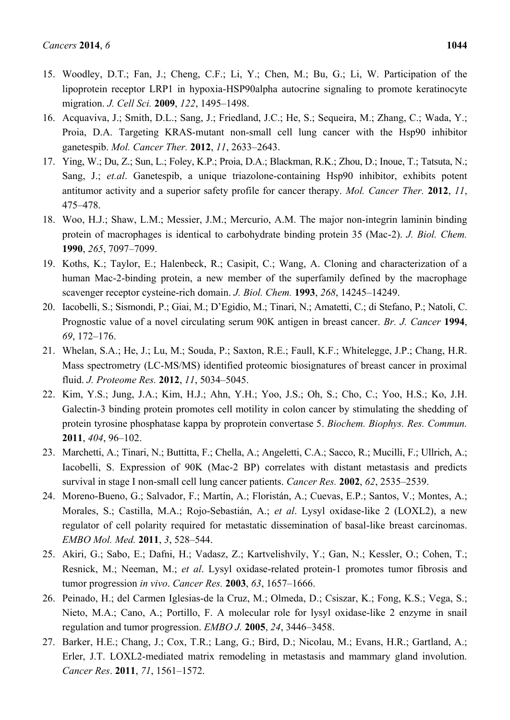- 15. Woodley, D.T.; Fan, J.; Cheng, C.F.; Li, Y.; Chen, M.; Bu, G.; Li, W. Participation of the lipoprotein receptor LRP1 in hypoxia-HSP90alpha autocrine signaling to promote keratinocyte migration. *J. Cell Sci.* **2009**, *122*, 1495–1498.
- 16. Acquaviva, J.; Smith, D.L.; Sang, J.; Friedland, J.C.; He, S.; Sequeira, M.; Zhang, C.; Wada, Y.; Proia, D.A. Targeting KRAS-mutant non-small cell lung cancer with the Hsp90 inhibitor ganetespib. *Mol. Cancer Ther.* **2012**, *11*, 2633–2643.
- 17. Ying, W.; Du, Z.; Sun, L.; Foley, K.P.; Proia, D.A.; Blackman, R.K.; Zhou, D.; Inoue, T.; Tatsuta, N.; Sang, J.; *et.al*. Ganetespib, a unique triazolone-containing Hsp90 inhibitor, exhibits potent antitumor activity and a superior safety profile for cancer therapy. *Mol. Cancer Ther.* **2012**, *11*, 475–478.
- 18. Woo, H.J.; Shaw, L.M.; Messier, J.M.; Mercurio, A.M. The major non-integrin laminin binding protein of macrophages is identical to carbohydrate binding protein 35 (Mac-2). *J. Biol. Chem.* **1990**, *265*, 7097–7099.
- 19. Koths, K.; Taylor, E.; Halenbeck, R.; Casipit, C.; Wang, A. Cloning and characterization of a human Mac-2-binding protein, a new member of the superfamily defined by the macrophage scavenger receptor cysteine-rich domain. *J. Biol. Chem.* **1993**, *268*, 14245–14249.
- 20. Iacobelli, S.; Sismondi, P.; Giai, M.; D'Egidio, M.; Tinari, N.; Amatetti, C.; di Stefano, P.; Natoli, C. Prognostic value of a novel circulating serum 90K antigen in breast cancer. *Br. J. Cancer* **1994**, *69*, 172–176.
- 21. Whelan, S.A.; He, J.; Lu, M.; Souda, P.; Saxton, R.E.; Faull, K.F.; Whitelegge, J.P.; Chang, H.R. Mass spectrometry (LC-MS/MS) identified proteomic biosignatures of breast cancer in proximal fluid. *J. Proteome Res.* **2012**, *11*, 5034–5045.
- 22. Kim, Y.S.; Jung, J.A.; Kim, H.J.; Ahn, Y.H.; Yoo, J.S.; Oh, S.; Cho, C.; Yoo, H.S.; Ko, J.H. Galectin-3 binding protein promotes cell motility in colon cancer by stimulating the shedding of protein tyrosine phosphatase kappa by proprotein convertase 5. *Biochem. Biophys. Res. Commun.* **2011**, *404*, 96–102.
- 23. Marchetti, A.; Tinari, N.; Buttitta, F.; Chella, A.; Angeletti, C.A.; Sacco, R.; Mucilli, F.; Ullrich, A.; Iacobelli, S. Expression of 90K (Mac-2 BP) correlates with distant metastasis and predicts survival in stage I non-small cell lung cancer patients. *Cancer Res.* **2002**, *62*, 2535–2539.
- 24. Moreno-Bueno, G.; Salvador, F.; Martín, A.; Floristán, A.; Cuevas, E.P.; Santos, V.; Montes, A.; Morales, S.; Castilla, M.A.; Rojo-Sebastián, A.; *et al*. Lysyl oxidase-like 2 (LOXL2), a new regulator of cell polarity required for metastatic dissemination of basal-like breast carcinomas. *EMBO Mol. Med.* **2011**, *3*, 528–544.
- 25. Akiri, G.; Sabo, E.; Dafni, H.; Vadasz, Z.; Kartvelishvily, Y.; Gan, N.; Kessler, O.; Cohen, T.; Resnick, M.; Neeman, M.; *et al*. Lysyl oxidase-related protein-1 promotes tumor fibrosis and tumor progression *in vivo*. *Cancer Res.* **2003**, *63*, 1657–1666.
- 26. Peinado, H.; del Carmen Iglesias-de la Cruz, M.; Olmeda, D.; Csiszar, K.; Fong, K.S.; Vega, S.; Nieto, M.A.; Cano, A.; Portillo, F. A molecular role for lysyl oxidase-like 2 enzyme in snail regulation and tumor progression. *EMBO J.* **2005**, *24*, 3446–3458.
- 27. Barker, H.E.; Chang, J.; Cox, T.R.; Lang, G.; Bird, D.; Nicolau, M.; Evans, H.R.; Gartland, A.; Erler, J.T. LOXL2-mediated matrix remodeling in metastasis and mammary gland involution. *Cancer Res*. **2011**, *71*, 1561–1572.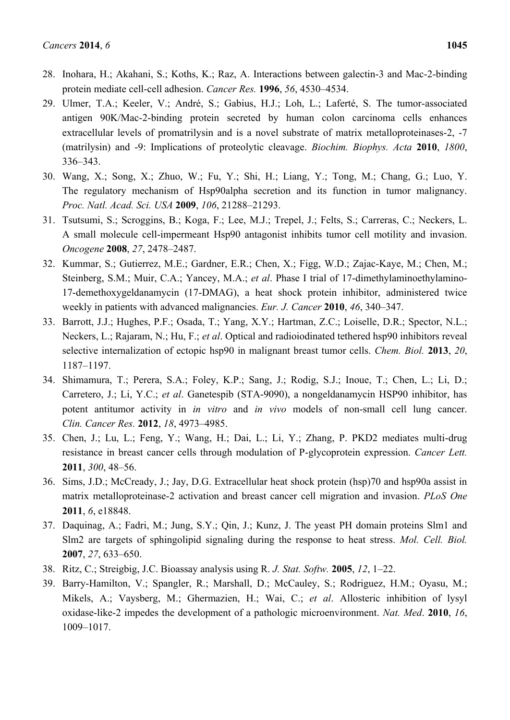- 28. Inohara, H.; Akahani, S.; Koths, K.; Raz, A. Interactions between galectin-3 and Mac-2-binding protein mediate cell-cell adhesion. *Cancer Res.* **1996**, *56*, 4530–4534.
- 29. Ulmer, T.A.; Keeler, V.; André, S.; Gabius, H.J.; Loh, L.; Laferté, S. The tumor-associated antigen 90K/Mac-2-binding protein secreted by human colon carcinoma cells enhances extracellular levels of promatrilysin and is a novel substrate of matrix metalloproteinases-2, -7 (matrilysin) and -9: Implications of proteolytic cleavage. *Biochim. Biophys. Acta* **2010**, *1800*, 336–343.
- 30. Wang, X.; Song, X.; Zhuo, W.; Fu, Y.; Shi, H.; Liang, Y.; Tong, M.; Chang, G.; Luo, Y. The regulatory mechanism of Hsp90alpha secretion and its function in tumor malignancy. *Proc. Natl. Acad. Sci. USA* **2009**, *106*, 21288–21293.
- 31. Tsutsumi, S.; Scroggins, B.; Koga, F.; Lee, M.J.; Trepel, J.; Felts, S.; Carreras, C.; Neckers, L. A small molecule cell-impermeant Hsp90 antagonist inhibits tumor cell motility and invasion. *Oncogene* **2008**, *27*, 2478–2487.
- 32. Kummar, S.; Gutierrez, M.E.; Gardner, E.R.; Chen, X.; Figg, W.D.; Zajac-Kaye, M.; Chen, M.; Steinberg, S.M.; Muir, C.A.; Yancey, M.A.; *et al.* Phase I trial of 17-dimethylaminoethylamino-17-demethoxygeldanamycin (17-DMAG), a heat shock protein inhibitor, administered twice weekly in patients with advanced malignancies. *Eur. J. Cancer* **2010**, *46*, 340–347.
- 33. Barrott, J.J.; Hughes, P.F.; Osada, T.; Yang, X.Y.; Hartman, Z.C.; Loiselle, D.R.; Spector, N.L.; Neckers, L.; Rajaram, N.; Hu, F.; *et al*. Optical and radioiodinated tethered hsp90 inhibitors reveal selective internalization of ectopic hsp90 in malignant breast tumor cells. *Chem. Biol.* **2013**, *20*, 1187–1197.
- 34. Shimamura, T.; Perera, S.A.; Foley, K.P.; Sang, J.; Rodig, S.J.; Inoue, T.; Chen, L.; Li, D.; Carretero, J.; Li, Y.C.; *et al*. Ganetespib (STA-9090), a nongeldanamycin HSP90 inhibitor, has potent antitumor activity in *in vitro* and *in vivo* models of non-small cell lung cancer. *Clin. Cancer Res.* **2012**, *18*, 4973–4985.
- 35. Chen, J.; Lu, L.; Feng, Y.; Wang, H.; Dai, L.; Li, Y.; Zhang, P. PKD2 mediates multi-drug resistance in breast cancer cells through modulation of P-glycoprotein expression. *Cancer Lett.* **2011**, *300*, 48–56.
- 36. Sims, J.D.; McCready, J.; Jay, D.G. Extracellular heat shock protein (hsp)70 and hsp90a assist in matrix metalloproteinase-2 activation and breast cancer cell migration and invasion. *PLoS One* **2011**, *6*, e18848.
- 37. Daquinag, A.; Fadri, M.; Jung, S.Y.; Qin, J.; Kunz, J. The yeast PH domain proteins Slm1 and Slm2 are targets of sphingolipid signaling during the response to heat stress. *Mol. Cell. Biol.* **2007**, *27*, 633–650.
- 38. Ritz, C.; Streigbig, J.C. Bioassay analysis using R. *J. Stat. Softw.* **2005**, *12*, 1–22.
- 39. Barry-Hamilton, V.; Spangler, R.; Marshall, D.; McCauley, S.; Rodriguez, H.M.; Oyasu, M.; Mikels, A.; Vaysberg, M.; Ghermazien, H.; Wai, C.; *et al*. Allosteric inhibition of lysyl oxidase-like-2 impedes the development of a pathologic microenvironment. *Nat. Med*. **2010**, *16*, 1009–1017.